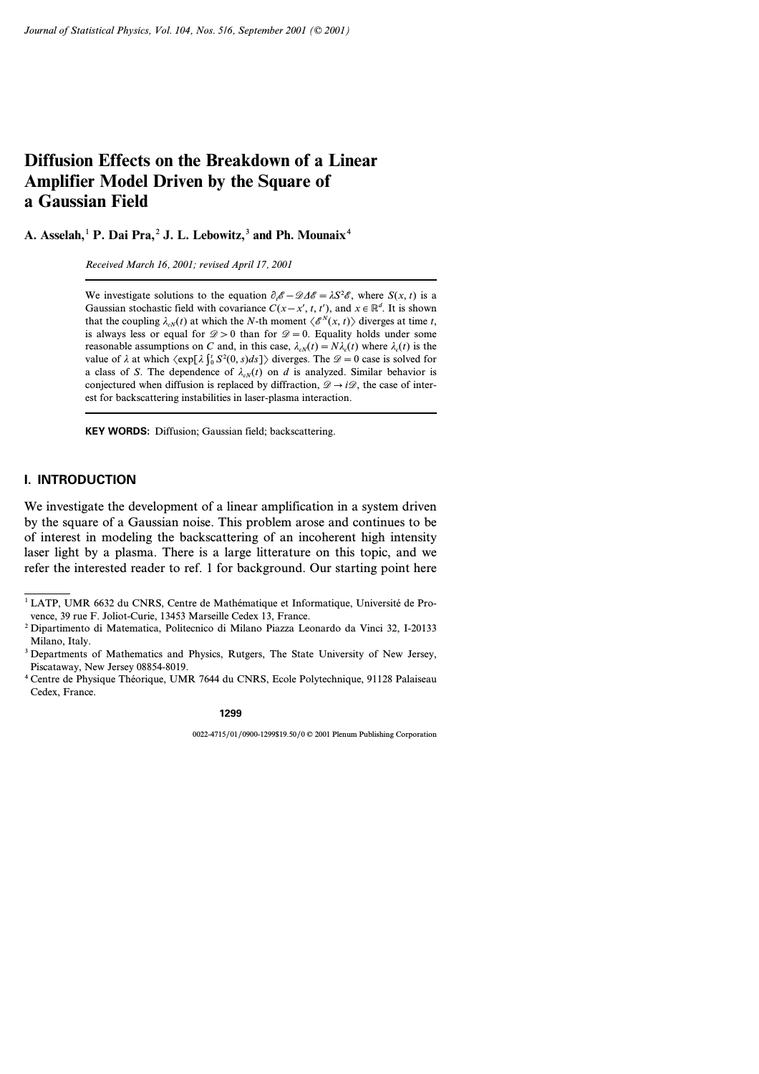# **Diffusion Effects on the Breakdown of a Linear Amplifier Model Driven by the Square of a Gaussian Field**

**A.Asselah,**<sup>1</sup> **P.Dai Pra,**<sup>2</sup> **J.L.Lebowitz,**<sup>3</sup> **and Ph.Mounaix**<sup>4</sup>

*Received March 16, 2001; revised April 17, 2001*

We investigate solutions to the equation  $\partial_t \mathscr{E} - \mathscr{D} \Delta \mathscr{E} = \lambda S^2 \mathscr{E}$ , where  $S(x, t)$  is a Gaussian stochastic field with covariance  $C(x-x', t, t')$ , and  $x \in \mathbb{R}^d$ . It is shown that the coupling  $\lambda_{cN}(t)$  at which the *N*-th moment  $\langle \mathcal{E}^N(x, t) \rangle$  diverges at time *t*, is always less or equal for  $\mathcal{D} > 0$  than for  $\mathcal{D} = 0$ . Equality holds under some reasonable assumptions on *C* and, in this case,  $\lambda_{cN}(t) = N\lambda_c(t)$  where  $\lambda_c(t)$  is the value of  $\lambda$  at which  $\langle \exp[\lambda \int_0^t S^2(0, s) ds] \rangle$  diverges. The  $\mathcal{D} = 0$  case is solved for a class of *S*. The dependence of  $\lambda_{\alpha}$ <sup> $\chi$ </sup>(*t*) on *d* is analyzed. Similar behavior is conjectured when diffusion is replaced by diffraction,  $\mathcal{D} \rightarrow i\mathcal{D}$ , the case of interest for backscattering instabilities in laser-plasma interaction.

**KEY WORDS:** Diffusion; Gaussian field; backscattering.

## **I. INTRODUCTION**

We investigate the development of a linear amplification in a system driven by the square of a Gaussian noise. This problem arose and continues to be of interest in modeling the backscattering of an incoherent high intensity laser light by a plasma. There is a large litterature on this topic, and we refer the interested reader to ref. 1 for background. Our starting point here

<sup>&</sup>lt;sup>1</sup> LATP, UMR 6632 du CNRS, Centre de Mathématique et Informatique, Université de Provence, 39 rue F. Joliot-Curie, 13453 Marseille Cedex 13, France.

<sup>2</sup> Dipartimento di Matematica, Politecnico di Milano Piazza Leonardo da Vinci 32, I-20133 Milano, Italy.

<sup>&</sup>lt;sup>3</sup> Departments of Mathematics and Physics, Rutgers, The State University of New Jersey, Piscataway, New Jersey 08854-8019.

<sup>4</sup> Centre de Physique Théorique, UMR 7644 du CNRS, Ecole Polytechnique, 91128 Palaiseau Cedex, France.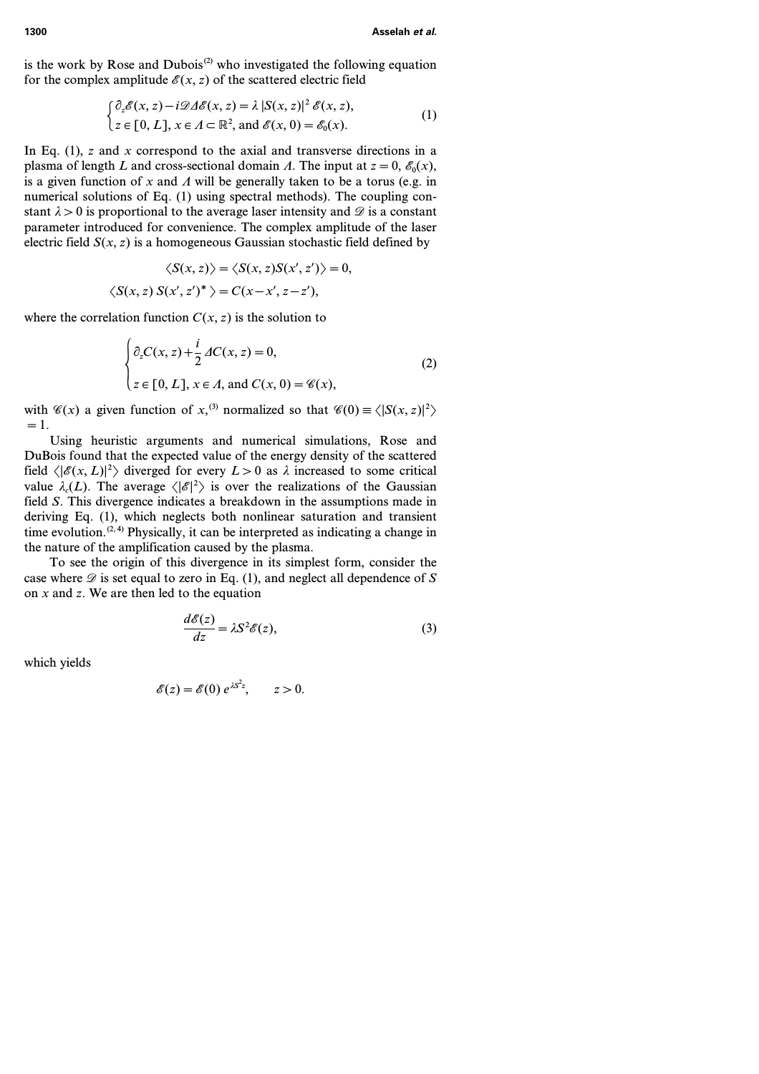is the work by Rose and Dubois<sup>(2)</sup> who investigated the following equation for the complex amplitude  $\mathscr{E}(x, z)$  of the scattered electric field

$$
\int_{\mathcal{Z}} \partial_z \mathscr{E}(x, z) - i \mathscr{D} \Delta \mathscr{E}(x, z) = \lambda |S(x, z)|^2 \mathscr{E}(x, z),
$$
\n
$$
\int_{\mathcal{Z}} \partial_z \mathscr{E}(x, z) \cdot \mathscr{E}(x, z) \cdot \mathscr{E}(x, z) = \partial_z \mathscr{E}(x, z).
$$
\n
$$
\partial_z \mathscr{E}(x, z) = \partial_z \mathscr{E}(x, z).
$$
\n
$$
\tag{1}
$$

In Eq. (1), *z* and *x* correspond to the axial and transverse directions in a plasma of length *L* and cross-sectional domain *A*. The input at  $z = 0$ ,  $\mathcal{E}_0(x)$ , is a given function of x and  $\Lambda$  will be generally taken to be a torus (e.g. in numerical solutions of Eq. (1) using spectral methods). The coupling constant  $\lambda > 0$  is proportional to the average laser intensity and  $\mathscr D$  is a constant parameter introduced for convenience. The complex amplitude of the laser electric field  $S(x, z)$  is a homogeneous Gaussian stochastic field defined by

$$
\langle S(x, z) \rangle = \langle S(x, z)S(x', z') \rangle = 0,
$$
  

$$
\langle S(x, z) S(x', z')^* \rangle = C(x - x', z - z'),
$$

where the correlation function  $C(x, z)$  is the solution to

$$
\begin{cases} \partial_z C(x, z) + \frac{i}{2} \Delta C(x, z) = 0, \\ z \in [0, L], x \in \Lambda, \text{ and } C(x, 0) = \mathscr{C}(x), \end{cases}
$$
 (2)

with  $\mathcal{C}(x)$  a given function of x,<sup>(3)</sup> normalized so that  $\mathcal{C}(0) \equiv \langle |S(x, z)|^2 \rangle$ *=1*.

Using heuristic arguments and numerical simulations, Rose and DuBois found that the expected value of the energy density of the scattered field  $\langle |\mathscr{E}(x, L)|^2 \rangle$  diverged for every  $L > 0$  as  $\lambda$  increased to some critical value  $\lambda_c(L)$ . The average  $\langle |\mathscr{E}|^2 \rangle$  is over the realizations of the Gaussian field *S*. This divergence indicates a breakdown in the assumptions made in deriving Eq. (1), which neglects both nonlinear saturation and transient time evolution.<sup> $(2, 4)$ </sup> Physically, it can be interpreted as indicating a change in the nature of the amplification caused by the plasma.

To see the origin of this divergence in its simplest form, consider the case where  $\mathscr D$  is set equal to zero in Eq. (1), and neglect all dependence of  $S$ on *x* and *z*. We are then led to the equation

$$
\frac{d\mathscr{E}(z)}{dz} = \lambda S^2 \mathscr{E}(z),\tag{3}
$$

which yields

$$
\mathscr{E}(z) = \mathscr{E}(0) e^{\lambda S^2 z}, \qquad z > 0.
$$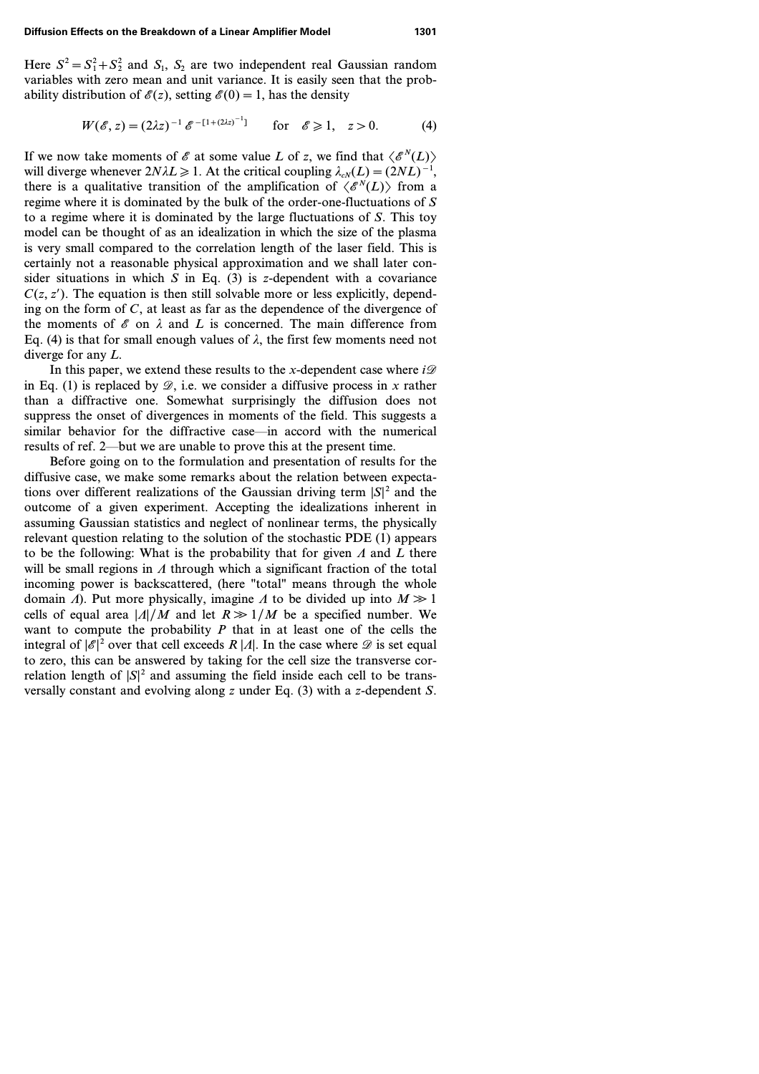Here  $S^2 = S_1^2 + S_2^2$  and  $S_1$ ,  $S_2$  are two independent real Gaussian random variables with zero mean and unit variance. It is easily seen that the probability distribution of  $\mathcal{E}(z)$ , setting  $\mathcal{E}(0) = 1$ , has the density

$$
W(\mathscr{E}, z) = (2\lambda z)^{-1} \mathscr{E}^{-[1 + (2\lambda z)^{-1}]} \quad \text{for} \quad \mathscr{E} \ge 1, \quad z > 0. \tag{4}
$$

If we now take moments of  $\mathscr E$  at some value *L* of *z*, we find that  $\langle \mathscr E^N(L) \rangle$ will diverge whenever  $2N\lambda L \ge 1$ . At the critical coupling  $\lambda_{cN}(L)=(2NL)^{-1}$ , there is a qualitative transition of the amplification of  $\langle \mathcal{E}^N(L) \rangle$  from a regime where it is dominated by the bulk of the order-one-fluctuations of *S* to a regime where it is dominated by the large fluctuations of *S*. This toy model can be thought of as an idealization in which the size of the plasma is very small compared to the correlation length of the laser field. This is certainly not a reasonable physical approximation and we shall later consider situations in which *S* in Eq. (3) is *z*-dependent with a covariance  $C(z, z')$ . The equation is then still solvable more or less explicitly, depending on the form of *C*, at least as far as the dependence of the divergence of the moments of  $\mathscr E$  on  $\lambda$  and  $L$  is concerned. The main difference from Eq. (4) is that for small enough values of  $\lambda$ , the first few moments need not diverge for any *L*.

In this paper, we extend these results to the *x*-dependent case where  $i\mathcal{D}$ in Eq. (1) is replaced by  $\mathcal{D}$ , i.e. we consider a diffusive process in *x* rather than a diffractive one. Somewhat surprisingly the diffusion does not suppress the onset of divergences in moments of the field. This suggests a similar behavior for the diffractive case—in accord with the numerical results of ref. 2—but we are unable to prove this at the present time.

Before going on to the formulation and presentation of results for the diffusive case, we make some remarks about the relation between expectations over different realizations of the Gaussian driving term  $|S|^2$  and the outcome of a given experiment. Accepting the idealizations inherent in assuming Gaussian statistics and neglect of nonlinear terms, the physically relevant question relating to the solution of the stochastic PDE (1) appears to be the following: What is the probability that for given  $\Lambda$  and  $\overline{L}$  there will be small regions in  $\Lambda$  through which a significant fraction of the total incoming power is backscattered, (here "total" means through the whole domain *A*). Put more physically, imagine *A* to be divided up into  $M \gg 1$ cells of equal area  $|A|/M$  and let  $R \gg 1/M$  be a specified number. We want to compute the probability  $P$  that in at least one of the cells the integral of  $|\mathcal{E}|^2$  over that cell exceeds  $R |A|$ . In the case where  $\mathcal{D}$  is set equal to zero, this can be answered by taking for the cell size the transverse correlation length of  $|S|^2$  and assuming the field inside each cell to be transversally constant and evolving along *z* under Eq. (3) with a *z*-dependent *S*.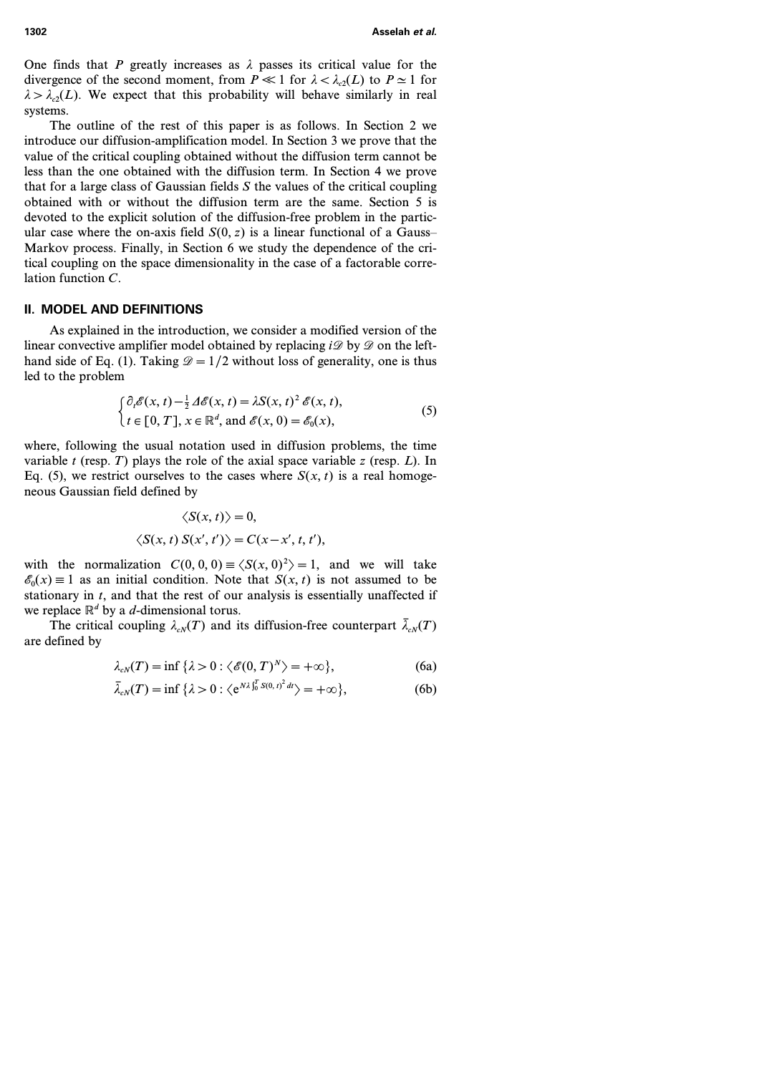One finds that *P* greatly increases as  $\lambda$  passes its critical value for the divergence of the second moment, from  $P \ll 1$  for  $\lambda < \lambda_{\alpha}(L)$  to  $P \simeq 1$  for  $\lambda > \lambda_c(L)$ . We expect that this probability will behave similarly in real systems.

The outline of the rest of this paper is as follows. In Section 2 we introduce our diffusion-amplification model. In Section 3 we prove that the value of the critical coupling obtained without the diffusion term cannot be less than the one obtained with the diffusion term. In Section 4 we prove that for a large class of Gaussian fields *S* the values of the critical coupling obtained with or without the diffusion term are the same. Section 5 is devoted to the explicit solution of the diffusion-free problem in the particular case where the on-axis field  $S(0, z)$  is a linear functional of a Gauss– Markov process. Finally, in Section 6 we study the dependence of the critical coupling on the space dimensionality in the case of a factorable correlation function *C*.

### **II. MODEL AND DEFINITIONS**

As explained in the introduction, we consider a modified version of the linear convective amplifier model obtained by replacing  $i\mathscr{D}$  by  $\mathscr{D}$  on the lefthand side of Eq. (1). Taking  $\mathcal{D}=1/2$  without loss of generality, one is thus led to the problem

$$
\begin{cases} \partial_t \mathscr{E}(x, t) - \frac{1}{2} \Delta \mathscr{E}(x, t) = \lambda S(x, t)^2 \mathscr{E}(x, t), \\ t \in [0, T], x \in \mathbb{R}^d, \text{ and } \mathscr{E}(x, 0) = \mathscr{E}_0(x), \end{cases}
$$
(5)

where, following the usual notation used in diffusion problems, the time variable *t* (resp. *T*) plays the role of the axial space variable *z* (resp. *L*). In Eq. (5), we restrict ourselves to the cases where  $S(x, t)$  is a real homogeneous Gaussian field defined by

$$
\langle S(x, t) \rangle = 0,
$$
  

$$
\langle S(x, t) S(x', t') \rangle = C(x - x', t, t'),
$$

with the normalization  $C(0, 0, 0) \equiv \langle S(x, 0)^2 \rangle = 1$ , and we will take  $\mathscr{E}_0(x) \equiv 1$  as an initial condition. Note that  $S(x, t)$  is not assumed to be stationary in *t*, and that the rest of our analysis is essentially unaffected if we replace  $\mathbb{R}^d$  by a *d*-dimensional torus.

The critical coupling  $\lambda_{\alpha}$ *(T)* and its diffusion-free counterpart  $\bar{\lambda}_{\alpha}$ *(T)* are defined by

$$
\lambda_{cN}(T) = \inf \{ \lambda > 0 : \langle \mathcal{E}(0, T)^N \rangle = +\infty \},\tag{6a}
$$

$$
\bar{\lambda}_{cN}(T) = \inf \{ \lambda > 0 : \langle e^{N\lambda \int_0^T S(0, t)^2 dt} \rangle = +\infty \},\tag{6b}
$$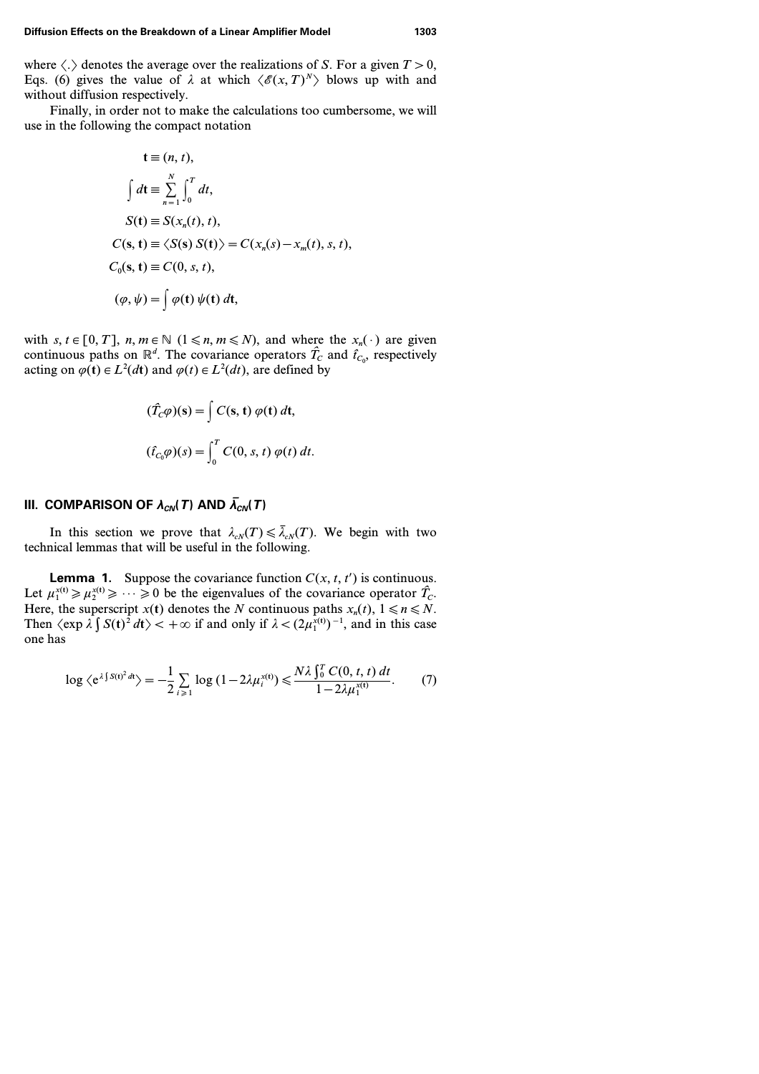#### **Diffusion Effects on the Breakdown of a Linear Amplifier Model 1303**

where  $\langle . \rangle$  denotes the average over the realizations of *S*. For a given  $T > 0$ , Eqs. (6) gives the value of  $\lambda$  at which  $\langle \mathcal{E}(x, T)^N \rangle$  blows up with and without diffusion respectively.

Finally, in order not to make the calculations too cumbersome, we will use in the following the compact notation

$$
\mathbf{t} \equiv (n, t),
$$
  
\n
$$
\int dt \equiv \sum_{n=1}^{N} \int_{0}^{T} dt,
$$
  
\n
$$
S(\mathbf{t}) \equiv S(x_n(t), t),
$$
  
\n
$$
C(\mathbf{s}, \mathbf{t}) \equiv \langle S(\mathbf{s}) S(\mathbf{t}) \rangle = C(x_n(s) - x_m(t), s, t),
$$
  
\n
$$
C_0(\mathbf{s}, \mathbf{t}) \equiv C(0, s, t),
$$
  
\n
$$
(\varphi, \psi) = \int \varphi(\mathbf{t}) \psi(\mathbf{t}) d\mathbf{t},
$$

with *s*,  $t \in [0, T]$ ,  $n, m \in \mathbb{N}$   $(1 \le n, m \le N)$ , and where the  $x_n(\cdot)$  are given continuous paths on  $\mathbb{R}^d$ . The covariance operators  $\hat{T}_c$  and  $\hat{t}_{c_0}$ , respectively acting on  $\varphi(\mathbf{t}) \in L^2(dt)$  and  $\varphi(t) \in L^2(dt)$ , are defined by

$$
(\hat{T}_C \varphi)(s) = \int C(s, t) \varphi(t) dt,
$$
  

$$
(\hat{t}_{C_0} \varphi)(s) = \int_0^T C(0, s, t) \varphi(t) dt.
$$

## **III.** COMPARISON OF  $\lambda_{CN}$ (*T*) AND  $\bar{\lambda}_{CN}$ (*T*)

In this section we prove that  $\lambda_{cN}(T) \leq \overline{\lambda}_{cN}(T)$ . We begin with two technical lemmas that will be useful in the following.

**Lemma 1.** Suppose the covariance function  $C(x, t, t')$  is continuous. Let  $\mu_1^{x(t)} \ge \mu_2^{x(t)} \ge \cdots \ge 0$  be the eigenvalues of the covariance operator  $\hat{T}_C$ . Here, the superscript  $x(t)$  denotes the *N* continuous paths  $x_n(t)$ ,  $1 \le n \le N$ . Then  $\langle \exp \lambda \int S(t)^2 dt \rangle < +\infty$  if and only if  $\lambda < (2\mu_1^{\bar{x}(t)})^{-1}$ , and in this case one has

$$
\log \langle e^{\lambda \int S(t)^2 dt} \rangle = -\frac{1}{2} \sum_{i \geq 1} \log (1 - 2\lambda \mu_i^{x(t)}) \leq \frac{N \lambda \int_0^T C(0, t, t) dt}{1 - 2\lambda \mu_1^{x(t)}}. \tag{7}
$$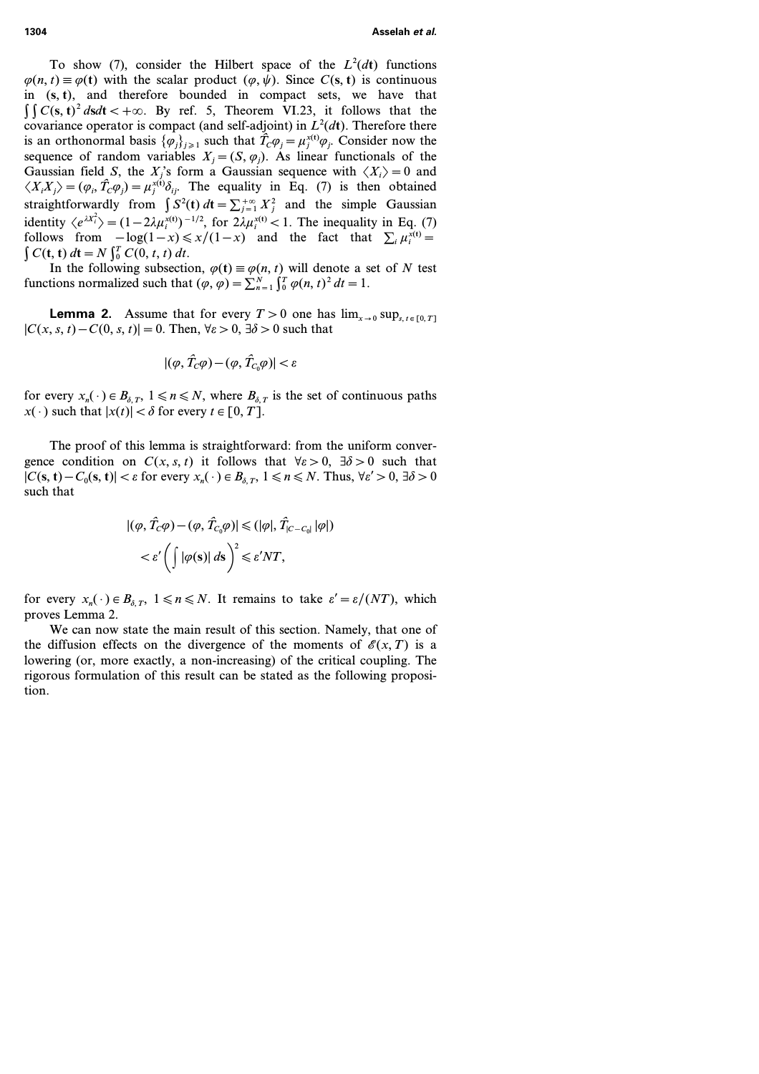To show (7), consider the Hilbert space of the  $L^2(dt)$  functions  $\varphi(n, t) \equiv \varphi(t)$  with the scalar product  $(\varphi, \psi)$ . Since *C(s, t)* is continuous in *(***s***,* **t***)*, and therefore bounded in compact sets, we have that  $\int \int C(s, t)^2 ds dt < +\infty$ . By ref. 5, Theorem VI.23, it follows that the covariance operator is compact (and self-adjoint) in  $L^2(dt)$ . Therefore there is an orthonormal basis  $\{\varphi_j\}_{j\geq 1}$  such that  $\hat{T}_C \varphi_j = \mu_j^{x(t)} \varphi_j$ . Consider now the sequence of random variables  $X_i = (S, \varphi_i)$ . As linear functionals of the Gaussian field *S*, the *X*<sup>*j*</sup>s form a Gaussian sequence with  $\langle X_i \rangle = 0$  and  $\langle X_i X_j \rangle = (\varphi_i, \hat{T}_c \varphi_j) = \mu_j^{x(i)} \delta_{ij}$ . The equality in Eq. (7) is then obtained straightforwardly from  $\int S^2(t) dt = \sum_{j=1}^{+\infty} X_j^2$  and the simple Gaussian identity  $\langle e^{iX_i^2} \rangle = (1 - 2\lambda \mu_i^{x(t)})^{-1/2}$ , for  $2\lambda \mu_i^{x(t)} < 1$ . The inequality in Eq. (7) follows from  $-\log(1-x) \le x/(1-x)$  and the fact that  $\sum_i \mu_i^{x(t)} =$  $\int C(t, t) dt = N \int_0^T C(0, t, t) dt.$ 

In the following subsection,  $\varphi(t) \equiv \varphi(n, t)$  will denote a set of *N* test functions normalized such that  $(\varphi, \varphi) = \sum_{n=1}^{N} \int_{0}^{T} \varphi(n, t)^{2} dt = 1$ .

**Lemma 2.** Assume that for every  $T > 0$  one has  $\lim_{x\to 0} \sup_{s,t \in [0, T]}$  $|C(x, s, t) - C(0, s, t)| = 0$ . Then,  $\forall \varepsilon > 0$ ,  $\exists \delta > 0$  such that

$$
|(\varphi,\hat{T}_C\varphi)-(\varphi,\hat{T}_{C_0}\varphi)|<\varepsilon
$$

for every  $x_n(\cdot) \in B_{\delta,T}$ ,  $1 \le n \le N$ , where  $B_{\delta,T}$  is the set of continuous paths *x*(·) such that  $|x(t)| < \delta$  for every  $t \in [0, T]$ .

The proof of this lemma is straightforward: from the uniform convergence condition on  $C(x, s, t)$  it follows that  $\forall \varepsilon > 0$ ,  $\exists \delta > 0$  such that  $|C(s, t) - C_0(s, t)| < \varepsilon$  for every  $x_n(\cdot) \in B_{\delta, T}$ ,  $1 \le n \le N$ . Thus,  $\forall \varepsilon' > 0$ ,  $\exists \delta > 0$ such that

$$
\begin{aligned} |(\varphi, \hat{T}_c \varphi) - (\varphi, \hat{T}_{c_0} \varphi)| &\leq (|\varphi|, \hat{T}_{|C - C_0|} |\varphi|) \\ &< \varepsilon' \left( \int |\varphi(s)| \, ds \right)^2 \leqslant \varepsilon' NT, \end{aligned}
$$

for every  $x_n(\cdot) \in B_{\delta, T}$ ,  $1 \le n \le N$ . It remains to take  $\varepsilon' = \varepsilon/(NT)$ , which proves Lemma 2.

We can now state the main result of this section. Namely, that one of the diffusion effects on the divergence of the moments of  $\mathscr{E}(x,T)$  is a lowering (or, more exactly, a non-increasing) of the critical coupling. The rigorous formulation of this result can be stated as the following proposition.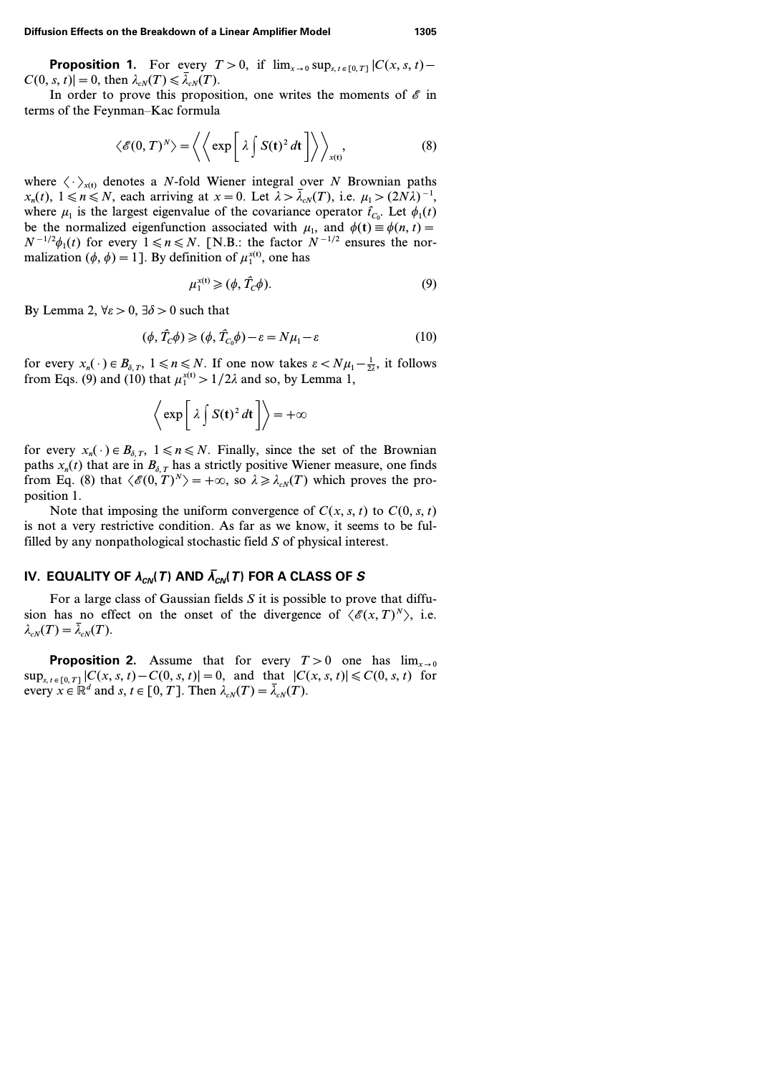**Proposition 1.** For every  $T > 0$ , if  $\lim_{x\to 0} \sup_{s,t \in [0,T]} |C(x, s, t) |C(0, s, t)| = 0$ , then  $\lambda_{cN}(T) \leq \overline{\lambda}_{cN}(T)$ .

In order to prove this proposition, one writes the moments of  $\mathscr E$  in terms of the Feynman–Kac formula

$$
\langle \mathscr{E}(0,T)^N \rangle = \left\langle \left\langle \exp \left[ \lambda \int S(t)^2 dt \right] \right\rangle \right\rangle_{x(t)}, \tag{8}
$$

where  $\langle \cdot \rangle_{r(t)}$  denotes a *N*-fold Wiener integral over *N* Brownian paths  $x_n(t)$ ,  $1 \le n \le N$ , each arriving at  $x = 0$ . Let  $\lambda > \overline{\lambda}_{cN}(T)$ , i.e.  $\mu_1 > (2N\lambda)^{-1}$ , where  $\mu_1$  is the largest eigenvalue of the covariance operator  $\hat{t}_{C_0}$ . Let  $\phi_1(t)$ be the normalized eigenfunction associated with  $\mu_1$ , and  $\phi(t) \equiv \phi(n, t)$  $N^{-1/2}\phi_1(t)$  for every  $1 \le n \le N$ . [N.B.: the factor  $N^{-1/2}$  ensures the normalization  $(\phi, \phi) = 1$ . By definition of  $\mu_1^{x(t)}$ , one has

$$
\mu_1^{x(t)} \ge (\phi, \hat{T}_c \phi). \tag{9}
$$

By Lemma 2,  $\forall \varepsilon > 0$ ,  $\exists \delta > 0$  such that

$$
(\phi, \hat{T}_c \phi) \ge (\phi, \hat{T}_{c_0} \phi) - \varepsilon = N\mu_1 - \varepsilon \tag{10}
$$

for every  $x_n(\cdot) \in B_{\delta, T}$ ,  $1 \le n \le N$ . If one now takes  $\varepsilon < N \mu_1 - \frac{1}{2\lambda}$ , it follows from Eqs. (9) and (10) that  $\mu_1^{x(t)} > 1/2\lambda$  and so, by Lemma 1,

$$
\left\langle \exp \left[ \lambda \int S(t)^2 dt \right] \right\rangle = +\infty
$$

for every  $x_n(\cdot) \in B_{\delta,T}$ ,  $1 \le n \le N$ . Finally, since the set of the Brownian paths  $x_n(t)$  that are in  $B_{\delta, T}$  has a strictly positive Wiener measure, one finds from Eq. (8) that  $\langle \mathcal{E}(0, T)^N \rangle = +\infty$ , so  $\lambda \geq \lambda_{cN}(T)$  which proves the proposition 1.

Note that imposing the uniform convergence of  $C(x, s, t)$  to  $C(0, s, t)$ is not a very restrictive condition. As far as we know, it seems to be fulfilled by any nonpathological stochastic field *S* of physical interest.

## IV. EQUALITY OF  $\lambda_{CN}$ (*T*) AND  $\overline{\lambda}_{CN}$ (*T*) FOR A CLASS OF *S*

For a large class of Gaussian fields *S* it is possible to prove that diffusion has no effect on the onset of the divergence of  $\langle \mathscr{E}(x, T)^N \rangle$ , i.e.  $\lambda_{cN}(T)=\overline{\lambda}_{cN}(T)$ .

**Proposition 2.** Assume that for every  $T>0$  one has  $\lim_{x\to 0}$  $\sup_{s,t \in [0,T]} |C(x, s, t) - C(0, s, t)| = 0$ , and that  $|C(x, s, t)| \leq C(0, s, t)$  for every  $x \in \mathbb{R}^d$  and  $s, t \in [0, T]$ . Then  $\lambda_{cN}(T) = \overline{\lambda}_{cN}(T)$ .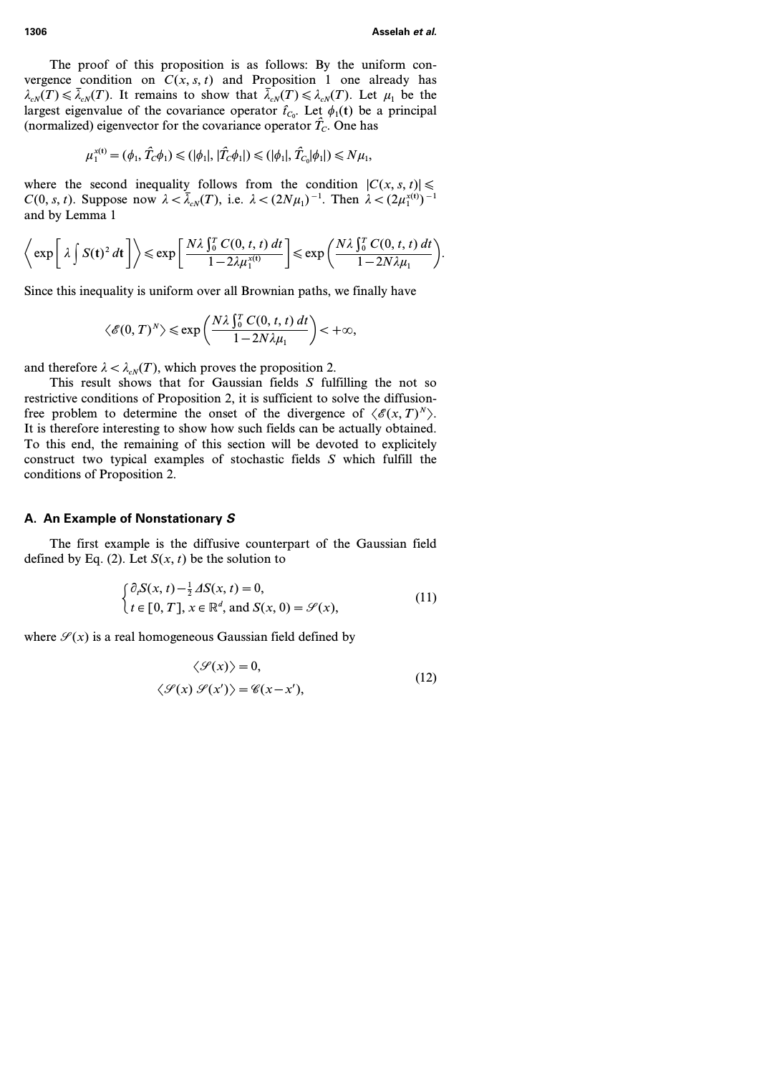The proof of this proposition is as follows: By the uniform convergence condition on  $C(x, s, t)$  and Proposition 1 one already has  $\lambda_{cN}(T) \le \bar{\lambda}_{cN}(T)$ . It remains to show that  $\bar{\lambda}_{cN}(T) \le \lambda_{cN}(T)$ . Let  $\mu_1$  be the largest eigenvalue of the covariance operator  $\hat{t}_{C_0}$ . Let  $\phi_1(t)$  be a principal (normalized) eigenvector for the covariance operator  $\hat{T}_c$ . One has

$$
\mu_1^{x(t)} = (\phi_1, \hat{T}_C \phi_1) \leq (|\phi_1|, |\hat{T}_C \phi_1|) \leq (|\phi_1|, \hat{T}_{C_0} |\phi_1|) \leq N \mu_1,
$$

where the second inequality follows from the condition  $|C(x, s, t)| \le$  $C(0, s, t)$ . Suppose now  $\lambda < \overline{\lambda}_{cN}(T)$ , i.e.  $\lambda < (2N\mu_1)^{-1}$ . Then  $\lambda < (2\mu_1^{x(t)})^{-1}$ and by Lemma 1

$$
\left\langle \exp \left[ \lambda \int S(t)^2 dt \right] \right\rangle \leqslant \exp \left[ \frac{N \lambda \int_0^T C(0, t, t) dt}{1 - 2\lambda \mu_1^{x(t)}} \right] \leqslant \exp \left( \frac{N \lambda \int_0^T C(0, t, t) dt}{1 - 2N \lambda \mu_1} \right).
$$

Since this inequality is uniform over all Brownian paths, we finally have

$$
\langle \mathscr{E}(0,T)^N \rangle \leqslant \exp\left(\frac{N\lambda\int_0^T C(0,t,t)\,dt}{1-2N\lambda\mu_1}\right) < +\infty,
$$

and therefore  $\lambda < \lambda_{cN}(T)$ , which proves the proposition 2.

This result shows that for Gaussian fields *S* fulfilling the not so restrictive conditions of Proposition 2, it is sufficient to solve the diffusionfree problem to determine the onset of the divergence of  $\langle \mathcal{E}(x, T)^N \rangle$ . It is therefore interesting to show how such fields can be actually obtained. To this end, the remaining of this section will be devoted to explicitely construct two typical examples of stochastic fields *S* which fulfill the conditions of Proposition 2.

### **A. An Example of Nonstationary** *S*

The first example is the diffusive counterpart of the Gaussian field defined by Eq. (2). Let  $S(x, t)$  be the solution to

$$
\begin{cases} \partial_t S(x, t) - \frac{1}{2} \Delta S(x, t) = 0, \\ t \in [0, T], x \in \mathbb{R}^d, \text{ and } S(x, 0) = \mathcal{S}(x), \end{cases}
$$
(11)

where  $\mathcal{S}(x)$  is a real homogeneous Gaussian field defined by

$$
\langle \mathcal{S}(x) \rangle = 0,
$$
  

$$
\langle \mathcal{S}(x) \mathcal{S}(x') \rangle = \mathcal{C}(x - x'),
$$
 (12)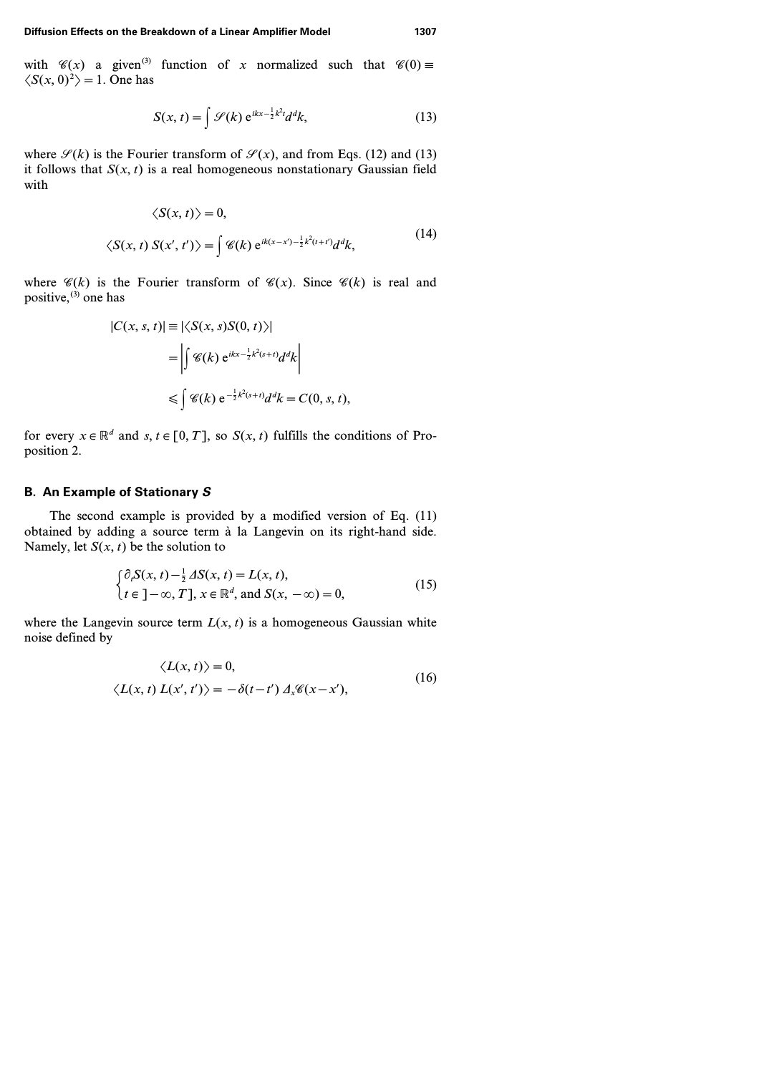with  $\mathscr{C}(x)$  a given<sup>(3)</sup> function of *x* normalized such that  $\mathscr{C}(0) \equiv$  $\langle S(x, 0)^2 \rangle = 1$ . One has

$$
S(x, t) = \int \mathcal{S}(k) e^{ikx - \frac{1}{2}k^2t} d^dk,
$$
 (13)

where  $\mathcal{S}(k)$  is the Fourier transform of  $\mathcal{S}(x)$ , and from Eqs. (12) and (13) it follows that  $S(x, t)$  is a real homogeneous nonstationary Gaussian field with

$$
\langle S(x,t) \rangle = 0,
$$
  

$$
\langle S(x,t) S(x',t') \rangle = \int \mathcal{C}(k) e^{ik(x-x')-\frac{1}{2}k^2(t+t')} d^d k,
$$
 (14)

where  $\mathscr{C}(k)$  is the Fourier transform of  $\mathscr{C}(x)$ . Since  $\mathscr{C}(k)$  is real and positive, $^{(3)}$  one has

$$
|C(x, s, t)| \equiv |\langle S(x, s)S(0, t)\rangle|
$$
  
= 
$$
\left| \int \mathcal{C}(k) e^{ikx - \frac{1}{2}k^2(s+t)} d^d k \right|
$$
  

$$
\leq \int \mathcal{C}(k) e^{-\frac{1}{2}k^2(s+t)} d^d k = C(0, s, t),
$$

for every  $x \in \mathbb{R}^d$  and  $s, t \in [0, T]$ , so  $S(x, t)$  fulfills the conditions of Proposition 2.

## **B. An Example of Stationary** *S*

The second example is provided by a modified version of Eq. (11) obtained by adding a source term à la Langevin on its right-hand side. Namely, let  $S(x, t)$  be the solution to

$$
\begin{cases} \partial_t S(x, t) - \frac{1}{2} \Delta S(x, t) = L(x, t), \\ t \in ]-\infty, T], x \in \mathbb{R}^d, \text{ and } S(x, -\infty) = 0, \end{cases}
$$
(15)

where the Langevin source term  $L(x, t)$  is a homogeneous Gaussian white noise defined by

$$
\langle L(x, t) \rangle = 0,
$$
  

$$
\langle L(x, t) L(x', t') \rangle = -\delta(t - t') \Delta_x \mathscr{C}(x - x'),
$$
 (16)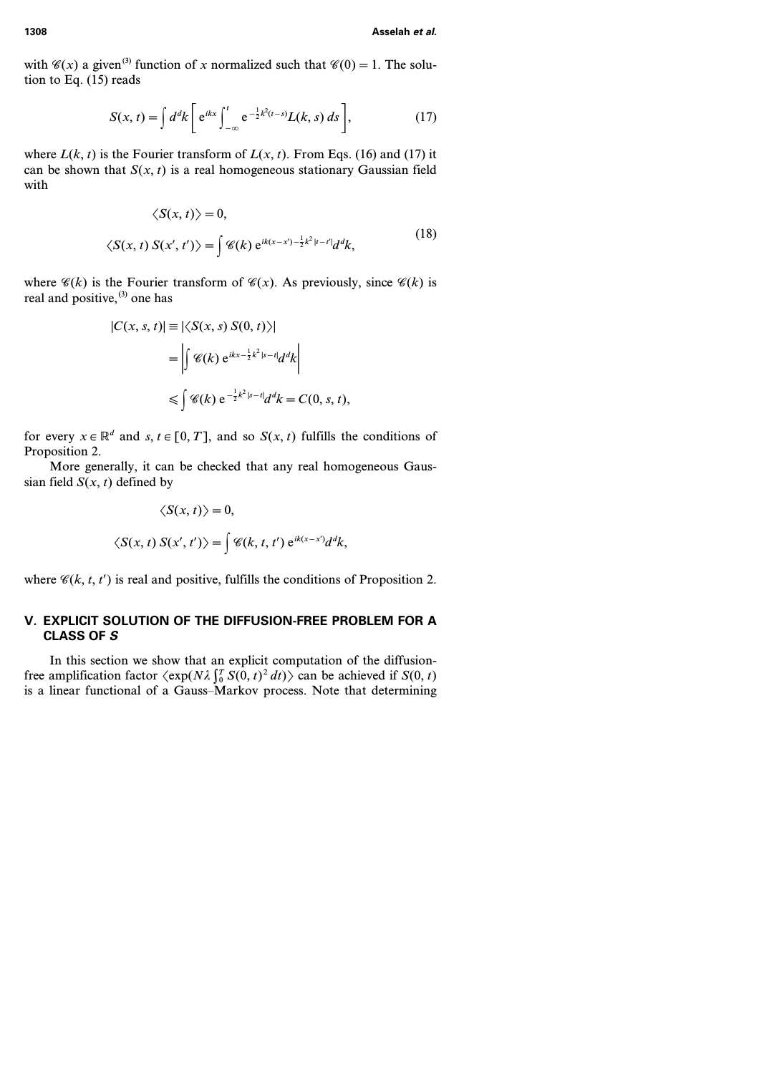with  $\mathcal{C}(x)$  a given<sup>(3)</sup> function of *x* normalized such that  $\mathcal{C}(0) = 1$ . The solution to Eq. (15) reads

$$
S(x,t) = \int d^d k \left[ e^{ikx} \int_{-\infty}^t e^{-\frac{1}{2}k^2(t-s)} L(k,s) ds \right],
$$
 (17)

where  $L(k, t)$  is the Fourier transform of  $L(x, t)$ . From Eqs. (16) and (17) it can be shown that  $S(x, t)$  is a real homogeneous stationary Gaussian field with

$$
\langle S(x,t) \rangle = 0,
$$
  

$$
\langle S(x,t) S(x',t') \rangle = \int \mathcal{C}(k) e^{ik(x-x')-\frac{1}{2}k^2|t-t'|} d^d k,
$$
 (18)

where  $\mathscr{C}(k)$  is the Fourier transform of  $\mathscr{C}(x)$ . As previously, since  $\mathscr{C}(k)$  is real and positive, $(3)$  one has

$$
|C(x, s, t)| \equiv |\langle S(x, s) S(0, t) \rangle|
$$
  
= 
$$
\left| \int \mathcal{C}(k) e^{ikx - \frac{1}{2}k^2 |s - t|} d^d k \right|
$$
  

$$
\leq \int \mathcal{C}(k) e^{-\frac{1}{2}k^2 |s - t|} d^d k = C(0, s, t),
$$

for every  $x \in \mathbb{R}^d$  and  $s, t \in [0, T]$ , and so  $S(x, t)$  fulfills the conditions of Proposition 2.

More generally, it can be checked that any real homogeneous Gaussian field  $S(x, t)$  defined by

$$
\langle S(x, t) \rangle = 0,
$$
  

$$
\langle S(x, t) S(x', t') \rangle = \int \mathcal{C}(k, t, t') e^{ik(x - x')} d^d k,
$$

where  $\mathcal{C}(k, t, t')$  is real and positive, fulfills the conditions of Proposition 2.

## **V. EXPLICIT SOLUTION OF THE DIFFUSION-FREE PROBLEM FOR A CLASS OF** *S*

In this section we show that an explicit computation of the diffusionfree amplification factor  $\langle \exp(N\lambda) \int_0^T S(0, t)^2 dt \rangle$  can be achieved if  $S(0, t)$ is a linear functional of a Gauss–Markov process. Note that determining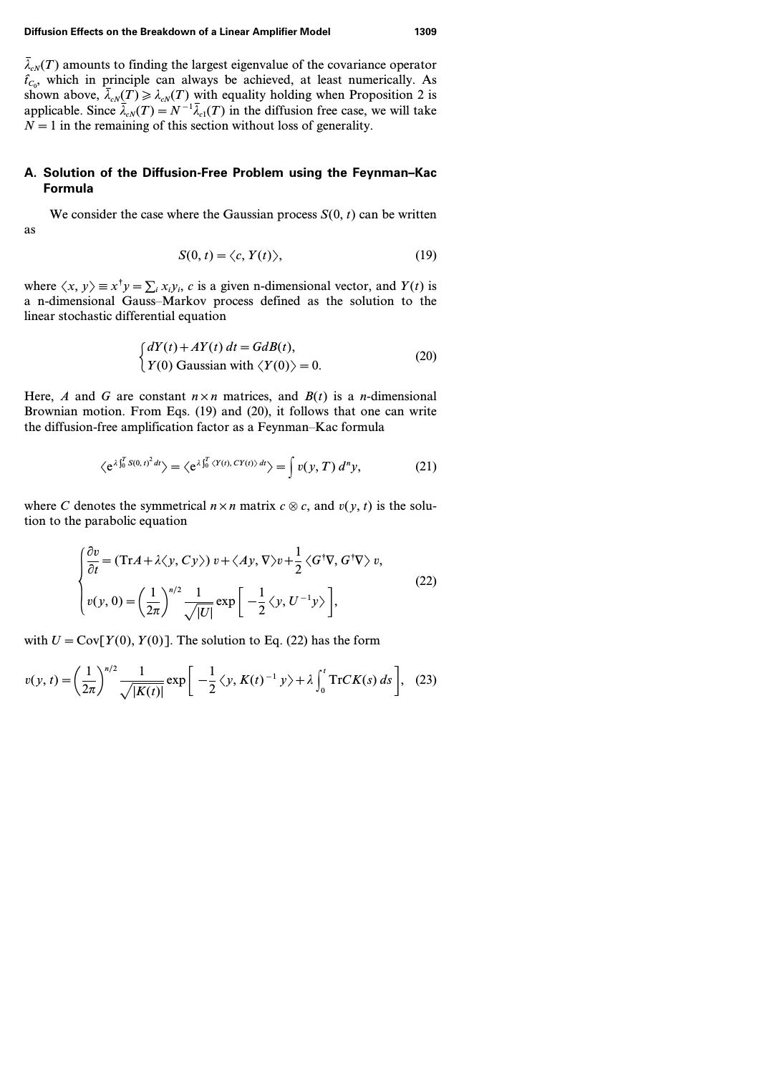#### **Diffusion Effects on the Breakdown of a Linear Amplifier Model 1309**

 $\bar{\lambda}_{cN}(T)$  amounts to finding the largest eigenvalue of the covariance operator  $\hat{t}_{C_0}$ , which in principle can always be achieved, at least numerically. As shown above,  $\bar{\lambda}_{cN}(T) \geq \lambda_{cN}(T)$  with equality holding when Proposition 2 is applicable. Since  $\bar{\lambda}_{cN}(T)=N^{-1}\bar{\lambda}_{c1}(T)$  in the diffusion free case, we will take  $N=1$  in the remaining of this section without loss of generality.

## **A. Solution of the Diffusion-Free Problem using the Feynman–Kac Formula**

We consider the case where the Gaussian process  $S(0, t)$  can be written as

$$
S(0, t) = \langle c, Y(t) \rangle, \tag{19}
$$

where  $\langle x, y \rangle \equiv x^{\dagger} y = \sum_{i} x_{i} y_{i}$ , *c* is a given n-dimensional vector, and *Y(t)* is a n-dimensional Gauss–Markov process defined as the solution to the linear stochastic differential equation

$$
\begin{cases}\n dY(t) + AY(t) dt = GdB(t), \\
 Y(0) \text{ Gaussian with } \langle Y(0) \rangle = 0.\n\end{cases}
$$
\n(20)

Here, *A* and *G* are constant  $n \times n$  matrices, and  $B(t)$  is a *n*-dimensional Brownian motion. From Eqs. (19) and (20), it follows that one can write the diffusion-free amplification factor as a Feynman–Kac formula

$$
\langle e^{\lambda \int_0^T S(0, t)^2 dt} \rangle = \langle e^{\lambda \int_0^T \langle Y(t), CY(t) \rangle dt} \rangle = \int v(y, T) d^n y,\tag{21}
$$

where *C* denotes the symmetrical  $n \times n$  matrix  $c \otimes c$ , and  $v(y, t)$  is the solution to the parabolic equation

$$
\begin{cases}\n\frac{\partial v}{\partial t} = (\text{Tr}A + \lambda \langle y, Cy \rangle) v + \langle Ay, \nabla \rangle v + \frac{1}{2} \langle G^{\dagger} \nabla, G^{\dagger} \nabla \rangle v, \\
v(y, 0) = \left(\frac{1}{2\pi}\right)^{n/2} \frac{1}{\sqrt{|U|}} \exp\left[-\frac{1}{2} \langle y, U^{-1} y \rangle\right],\n\end{cases} (22)
$$

with  $U = \text{Cov}[Y(0), Y(0)]$ . The solution to Eq. (22) has the form

$$
v(y,t) = \left(\frac{1}{2\pi}\right)^{n/2} \frac{1}{\sqrt{|K(t)|}} \exp\bigg[-\frac{1}{2}\langle y, K(t)^{-1} y \rangle + \lambda \int_0^t \text{Tr}CK(s) ds\bigg], \quad (23)
$$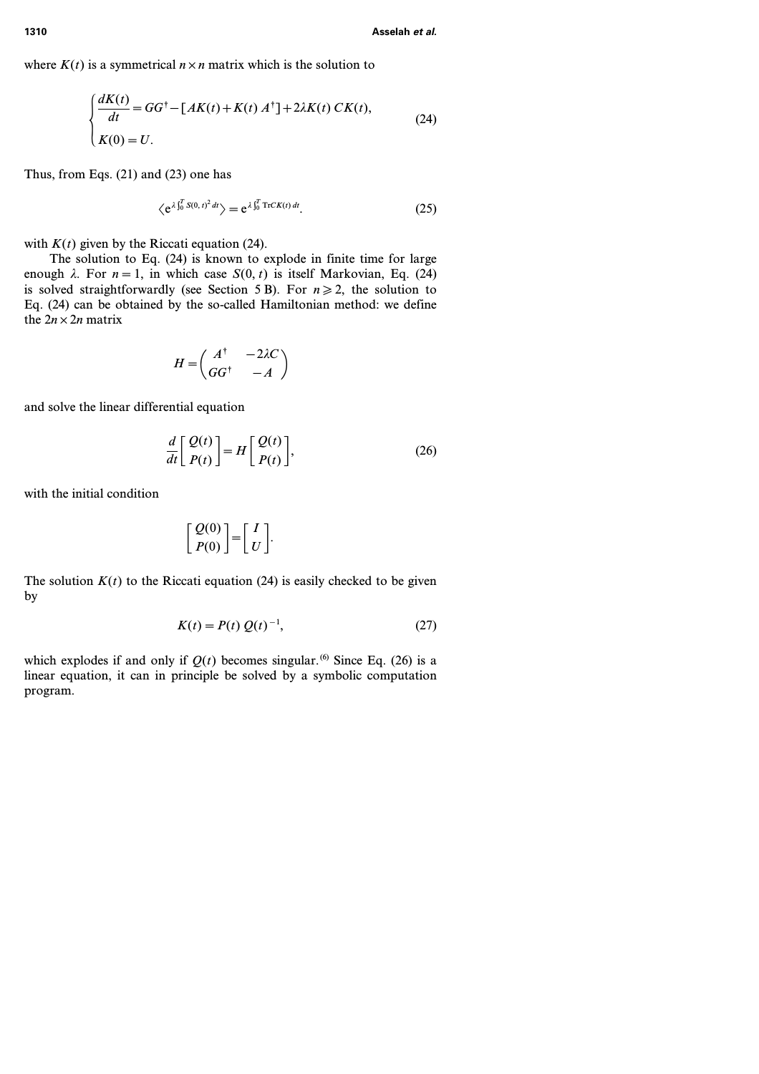where  $K(t)$  is a symmetrical  $n \times n$  matrix which is the solution to

$$
\begin{cases}\n\frac{dK(t)}{dt} = GG^\dagger - [AK(t) + K(t) A^\dagger] + 2\lambda K(t) C K(t), \\
K(0) = U.\n\end{cases} \tag{24}
$$

Thus, from Eqs. (21) and (23) one has

$$
\langle e^{\lambda \int_0^T S(0, t)^2 dt} \rangle = e^{\lambda \int_0^T \text{Tr}CK(t) dt}.
$$
 (25)

with  $K(t)$  given by the Riccati equation (24).

The solution to Eq. (24) is known to explode in finite time for large enough  $\lambda$ . For  $n=1$ , in which case  $S(0, t)$  is itself Markovian, Eq. (24) is solved straightforwardly (see Section 5 B). For  $n \ge 2$ , the solution to Eq. (24) can be obtained by the so-called Hamiltonian method: we define the  $2n \times 2n$  matrix

$$
H = \begin{pmatrix} A^{\dagger} & -2\lambda C \\ G G^{\dagger} & -A \end{pmatrix}
$$

and solve the linear differential equation

$$
\frac{d}{dt} \begin{bmatrix} Q(t) \\ P(t) \end{bmatrix} = H \begin{bmatrix} Q(t) \\ P(t) \end{bmatrix},
$$
\n(26)

with the initial condition

$$
\left[\begin{array}{c} Q(0) \\ P(0) \end{array}\right] = \left[\begin{array}{c} I \\ U \end{array}\right].
$$

The solution  $K(t)$  to the Riccati equation (24) is easily checked to be given by

$$
K(t) = P(t) Q(t)^{-1},
$$
\n(27)

which explodes if and only if  $Q(t)$  becomes singular.<sup>(6)</sup> Since Eq. (26) is a linear equation, it can in principle be solved by a symbolic computation program.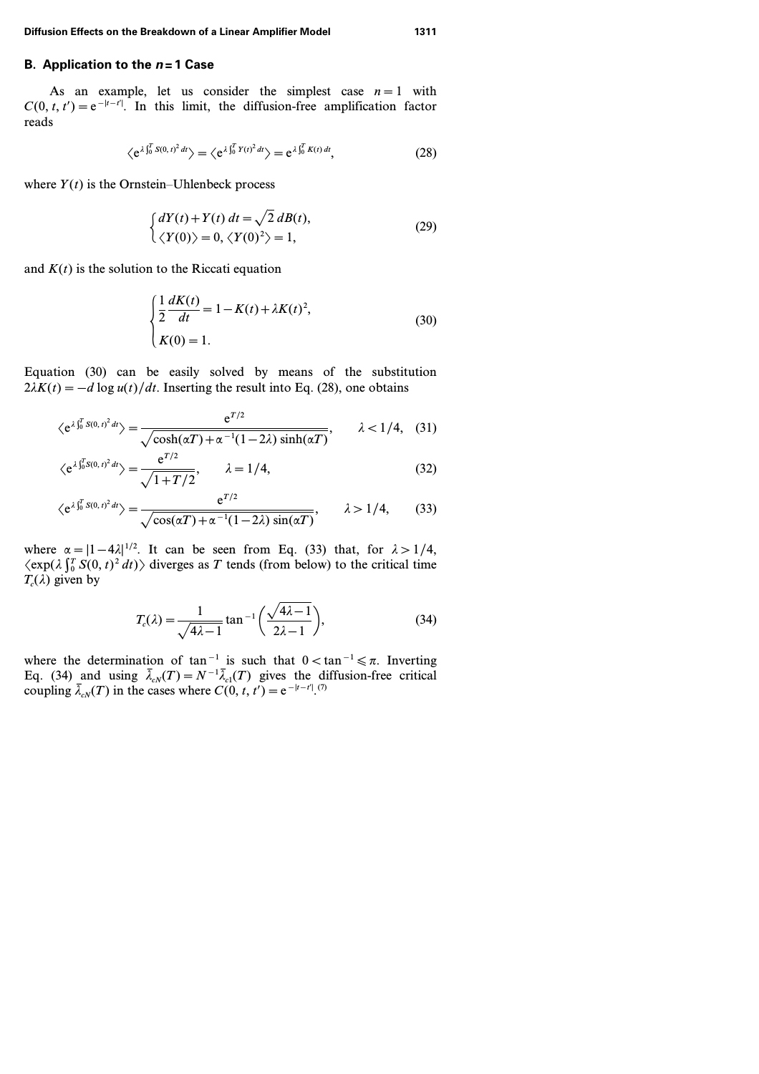## **B. Application to the** *n***=1 Case**

As an example, let us consider the simplest case  $n=1$  with  $C(0, t, t') = e^{-|t - t'|}$ . In this limit, the diffusion-free amplification factor reads

$$
\langle e^{\lambda \int_0^T S(0, t)^2 dt} \rangle = \langle e^{\lambda \int_0^T Y(t)^2 dt} \rangle = e^{\lambda \int_0^T K(t) dt}, \tag{28}
$$

where  $Y(t)$  is the Ornstein–Uhlenbeck process

$$
\begin{cases} dY(t) + Y(t) dt = \sqrt{2} dB(t), \\ \langle Y(0) \rangle = 0, \langle Y(0)^2 \rangle = 1, \end{cases}
$$
 (29)

and  $K(t)$  is the solution to the Riccati equation

$$
\begin{cases} \frac{1}{2} \frac{dK(t)}{dt} = 1 - K(t) + \lambda K(t)^2, \\ K(0) = 1. \end{cases}
$$
 (30)

Equation (30) can be easily solved by means of the substitution  $2\lambda K(t) = -d \log u(t)/dt$ . Inserting the result into Eq. (28), one obtains

$$
\langle e^{\lambda \int_0^T S(0, t)^2 dt} \rangle = \frac{e^{T/2}}{\sqrt{\cosh(\alpha T) + \alpha^{-1}(1 - 2\lambda)\sinh(\alpha T)}}, \qquad \lambda < 1/4, \quad (31)
$$

$$
\langle e^{\lambda \int_0^T S(0, t)^2 dt} \rangle = \frac{e^{T/2}}{\sqrt{1 + T/2}}, \qquad \lambda = 1/4,
$$
 (32)

$$
\langle e^{\lambda \int_0^T S(0, t)^2 dt} \rangle = \frac{e^{T/2}}{\sqrt{\cos(\alpha T) + \alpha^{-1}(1 - 2\lambda)\sin(\alpha T)}}, \qquad \lambda > 1/4,
$$
 (33)

where  $\alpha = |1 - 4\lambda|^{1/2}$ . It can be seen from Eq. (33) that, for  $\lambda > 1/4$ ,  $\langle \exp(\lambda \int_0^T S(0, t)^2 dt) \rangle$  diverges as *T* tends (from below) to the critical time  $T_c(\lambda)$  given by

$$
T_c(\lambda) = \frac{1}{\sqrt{4\lambda - 1}} \tan^{-1} \left( \frac{\sqrt{4\lambda - 1}}{2\lambda - 1} \right),\tag{34}
$$

where the determination of tan<sup>-1</sup> is such that  $0 < \tan^{-1} \leq \pi$ . Inverting Eq. (34) and using  $\bar{\lambda}_{cN}(T) = N^{-1} \bar{\lambda}_{c1}(T)$  gives the diffusion-free critical coupling  $\bar{\lambda}_{cN}(T)$  in the cases where  $C(0, t, t') = e^{-|t - t'|}$ .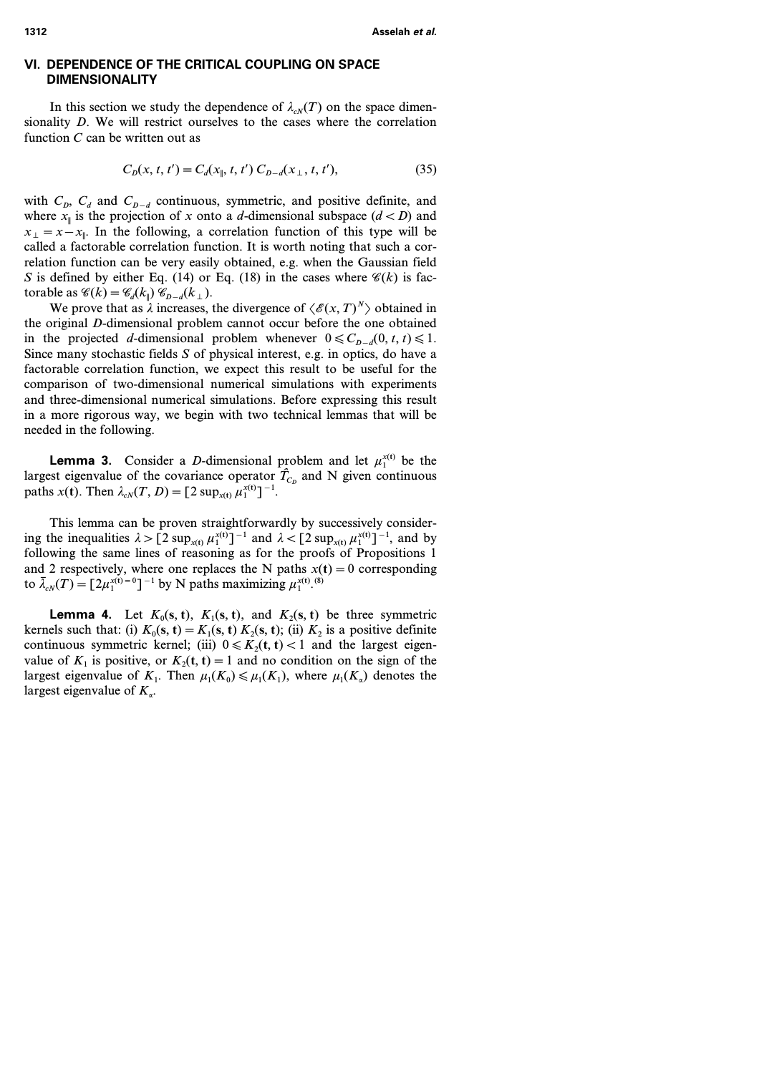## **VI. DEPENDENCE OF THE CRITICAL COUPLING ON SPACE DIMENSIONALITY**

In this section we study the dependence of  $\lambda_{\alpha}$ <sup>*(T)*</sup>) on the space dimensionality *D*. We will restrict ourselves to the cases where the correlation function *C* can be written out as

$$
C_D(x, t, t') = C_d(x_{\parallel}, t, t') C_{D-d}(x_{\perp}, t, t'),
$$
\n(35)

with  $C_p$ ,  $C_d$  and  $C_{p-d}$  continuous, symmetric, and positive definite, and where  $x_{\parallel}$  is the projection of x onto a *d*-dimensional subspace  $(d < D)$  and  $x_{\perp} = x - x_{\parallel}$ . In the following, a correlation function of this type will be called a factorable correlation function. It is worth noting that such a correlation function can be very easily obtained, e.g. when the Gaussian field *S* is defined by either Eq. (14) or Eq. (18) in the cases where  $\mathcal{C}(k)$  is factorable as  $\mathcal{C}(k) = \mathcal{C}_d(k_1) \mathcal{C}_{D-d}(k_1)$ .

We prove that as  $\lambda$  increases, the divergence of  $\langle \mathcal{E}(x, T)^N \rangle$  obtained in the original *D*-dimensional problem cannot occur before the one obtained in the projected *d*-dimensional problem whenever  $0 \le C_{p-d}(0, t, t) \le 1$ . Since many stochastic fields *S* of physical interest, e.g. in optics, do have a factorable correlation function, we expect this result to be useful for the comparison of two-dimensional numerical simulations with experiments and three-dimensional numerical simulations. Before expressing this result in a more rigorous way, we begin with two technical lemmas that will be needed in the following.

**Lemma 3.** Consider a *D*-dimensional problem and let  $\mu_1^{x(t)}$  be the largest eigenvalue of the covariance operator  $\hat{T}_{C_D}$  and N given continuous paths *x*(**t**). Then  $\lambda_{cN}(T, D) = [2 \sup_{x(t)} \mu_1^{x(t)}]^{-1}$ .

This lemma can be proven straightforwardly by successively considering the inequalities  $\lambda > [2 \sup_{x(t)} \mu_1^{x(t)}]^{-1}$  and  $\lambda < [2 \sup_{x(t)} \mu_1^{x(t)}]^{-1}$ , and by following the same lines of reasoning as for the proofs of Propositions 1 and 2 respectively, where one replaces the N paths  $x(t) = 0$  corresponding to  $\bar{\lambda}_{cN}(T) = [2\mu_1^{x(t)=0}]^{-1}$  by N paths maximizing  $\mu_1^{x(t)}$ .<sup>(8)</sup>

**Lemma 4.** Let  $K_0$ (**s**, **t**),  $K_1$ (**s**, **t**), and  $K_2$ (**s**, **t**) be three symmetric kernels such that: (i)  $K_0(s, t) = K_1(s, t) K_2(s, t)$ ; (ii)  $K_2$  is a positive definite continuous symmetric kernel; (iii)  $0 \le K_2(t, t) < 1$  and the largest eigenvalue of  $K_1$  is positive, or  $K_2(t, t) = 1$  and no condition on the sign of the largest eigenvalue of  $K_1$ . Then  $\mu_1(K_0) \leq \mu_1(K_1)$ , where  $\mu_1(K_a)$  denotes the largest eigenvalue of *Ka*.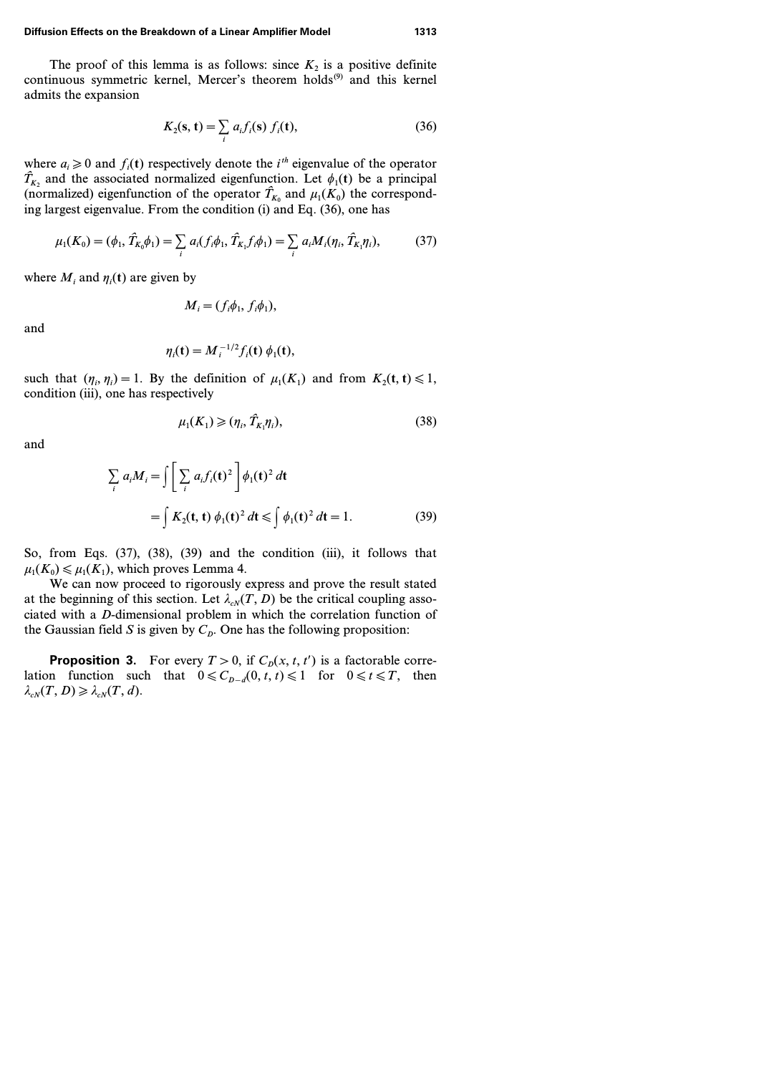#### **Diffusion Effects on the Breakdown of a Linear Amplifier Model 1313**

The proof of this lemma is as follows: since  $K_2$  is a positive definite continuous symmetric kernel, Mercer's theorem holds<sup>(9)</sup> and this kernel admits the expansion

$$
K_2(\mathbf{s}, \mathbf{t}) = \sum_i a_i f_i(\mathbf{s}) f_i(\mathbf{t}), \tag{36}
$$

where  $a_i \ge 0$  and  $f_i(t)$  respectively denote the *i*<sup>th</sup> eigenvalue of the operator  $\hat{T}_{K_2}$  and the associated normalized eigenfunction. Let  $\phi_1(\mathbf{t})$  be a principal (normalized) eigenfunction of the operator  $\hat{T}_{K_0}$  and  $\mu_1(K_0)$  the corresponding largest eigenvalue. From the condition (i) and Eq. (36), one has

$$
\mu_1(K_0) = (\phi_1, \hat{T}_{K_0}\phi_1) = \sum_i a_i(f_i\phi_1, \hat{T}_{K_1}f_i\phi_1) = \sum_i a_i M_i(\eta_i, \hat{T}_{K_1}\eta_i),
$$
(37)

where  $M_i$  and  $\eta_i(\mathbf{t})$  are given by

$$
M_i = (f_i \phi_1, f_i \phi_1),
$$

and

$$
\eta_i(\mathbf{t}) = M_i^{-1/2} f_i(\mathbf{t}) \phi_1(\mathbf{t}),
$$

such that  $(\eta_i, \eta_i) = 1$ . By the definition of  $\mu_1(K_1)$  and from  $K_2(\mathbf{t}, \mathbf{t}) \leq 1$ , condition (iii), one has respectively

$$
\mu_1(K_1) \geqslant (\eta_i, \hat{T}_{K_1}\eta_i),\tag{38}
$$

and

$$
\sum_{i} a_{i}M_{i} = \int \left[ \sum_{i} a_{i}f_{i}(\mathbf{t})^{2} \right] \phi_{1}(\mathbf{t})^{2} d\mathbf{t}
$$
\n
$$
= \int K_{2}(\mathbf{t}, \mathbf{t}) \phi_{1}(\mathbf{t})^{2} d\mathbf{t} \le \int \phi_{1}(\mathbf{t})^{2} d\mathbf{t} = 1.
$$
\n(39)

So, from Eqs. (37), (38), (39) and the condition (iii), it follows that  $\mu_1(K_0) \leq \mu_1(K_1)$ , which proves Lemma 4.

We can now proceed to rigorously express and prove the result stated at the beginning of this section. Let  $\lambda_{cN}(T, D)$  be the critical coupling associated with a *D*-dimensional problem in which the correlation function of the Gaussian field *S* is given by  $C_p$ . One has the following proposition:

**Proposition 3.** For every  $T > 0$ , if  $C_p(x, t, t')$  is a factorable correlation function such that  $0 \leq C_{p-d}(0, t, t) \leq 1$  for  $0 \leq t \leq T$ , then  $\lambda_{cN}(T, D) \geq \lambda_{cN}(T, d).$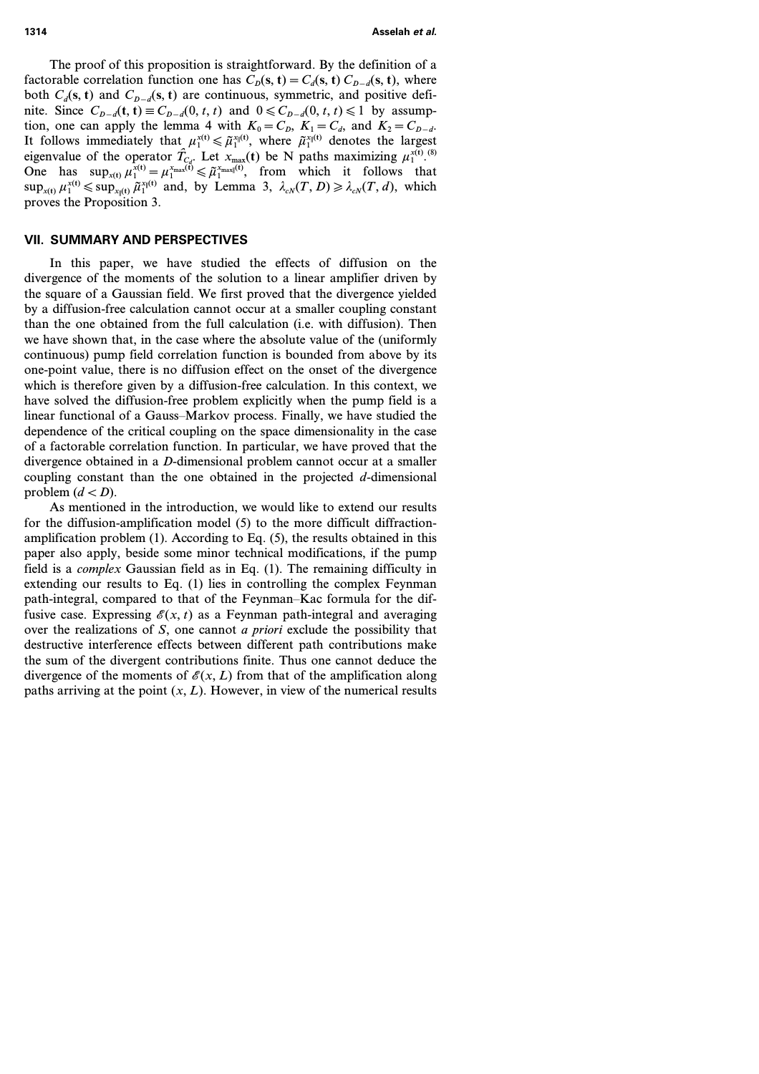The proof of this proposition is straightforward. By the definition of a factorable correlation function one has  $C_p(s, t) = C_d(s, t) C_{p-d}(s, t)$ , where both  $C_d$ (s, t) and  $C_{d-d}$ (s, t) are continuous, symmetric, and positive definite. Since  $C_{D-d}$ (**t**, **t**) ≡  $C_{D-d}$ (0, *t*, *t*) and 0 ≤  $C_{D-d}$ (0, *t*, *t*) ≤ 1 by assumption, one can apply the lemma 4 with  $K_0 = C_p$ ,  $K_1 = C_d$ , and  $K_2 = C_{p-d}$ . It follows immediately that  $\mu_1^{x(t)} \leq \tilde{\mu}_1^{x_1(t)}$ , where  $\tilde{\mu}_1^{x_1(t)}$  denotes the largest eigenvalue of the operator  $\hat{T}_{C_d}$ . Let  $x_{\text{max}}(t)$  be N paths maximizing  $\mu_1^{x(t)}$ .<sup>(8)</sup> One has  $\sup_{x(t)} \mu_1^{x(t)} = \mu_1^{x_{\text{max}}(t)} \leq \tilde{\mu}_1^{x_{\text{max}}(t)}$ , from which it follows that  $\sup_{x(t)} \mu_1^{x(t)} \leq \sup_{x_1(t)} \tilde{\mu}_1^{x_1(t)}$  and, by Lemma 3,  $\lambda_{cN}(T, D) \geq \lambda_{cN}(T, d)$ , which proves the Proposition 3.

### **VII. SUMMARY AND PERSPECTIVES**

In this paper, we have studied the effects of diffusion on the divergence of the moments of the solution to a linear amplifier driven by the square of a Gaussian field. We first proved that the divergence yielded by a diffusion-free calculation cannot occur at a smaller coupling constant than the one obtained from the full calculation (i.e. with diffusion). Then we have shown that, in the case where the absolute value of the (uniformly continuous) pump field correlation function is bounded from above by its one-point value, there is no diffusion effect on the onset of the divergence which is therefore given by a diffusion-free calculation. In this context, we have solved the diffusion-free problem explicitly when the pump field is a linear functional of a Gauss–Markov process. Finally, we have studied the dependence of the critical coupling on the space dimensionality in the case of a factorable correlation function. In particular, we have proved that the divergence obtained in a *D*-dimensional problem cannot occur at a smaller coupling constant than the one obtained in the projected *d*-dimensional problem  $(d < D)$ .

As mentioned in the introduction, we would like to extend our results for the diffusion-amplification model (5) to the more difficult diffractionamplification problem (1). According to Eq. (5), the results obtained in this paper also apply, beside some minor technical modifications, if the pump field is a *complex* Gaussian field as in Eq. (1). The remaining difficulty in extending our results to Eq. (1) lies in controlling the complex Feynman path-integral, compared to that of the Feynman–Kac formula for the diffusive case. Expressing  $\mathscr{E}(x, t)$  as a Feynman path-integral and averaging over the realizations of *S*, one cannot *a priori* exclude the possibility that destructive interference effects between different path contributions make the sum of the divergent contributions finite. Thus one cannot deduce the divergence of the moments of  $\mathcal{E}(x, L)$  from that of the amplification along paths arriving at the point  $(x, L)$ . However, in view of the numerical results